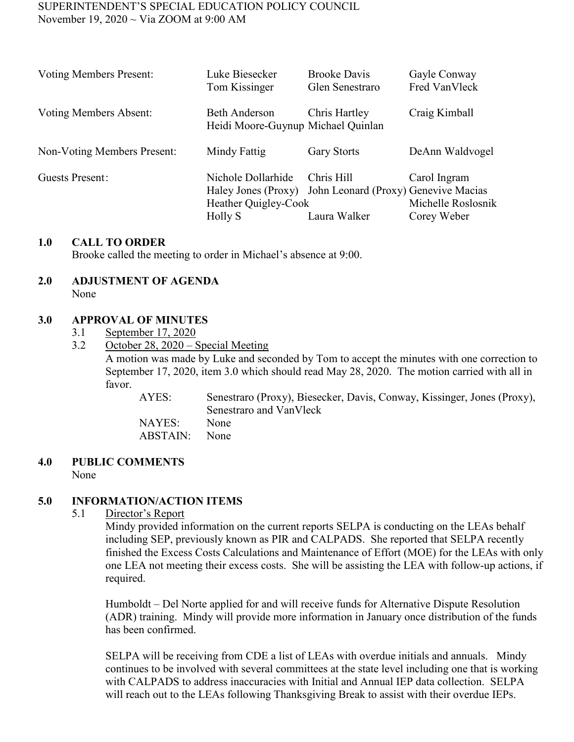### SUPERINTENDENT'S SPECIAL EDUCATION POLICY COUNCIL November 19, 2020 ~ Via ZOOM at 9:00 AM

| <b>Voting Members Present:</b> | Luke Biesecker                                             | <b>Brooke Davis</b>                                      | Gayle Conway       |
|--------------------------------|------------------------------------------------------------|----------------------------------------------------------|--------------------|
|                                | Tom Kissinger                                              | Glen Senestraro                                          | Fred VanVleck      |
| Voting Members Absent:         | <b>Beth Anderson</b><br>Heidi Moore-Guynup Michael Quinlan | Chris Hartley                                            | Craig Kimball      |
| Non-Voting Members Present:    | Mindy Fattig                                               | <b>Gary Storts</b>                                       | DeAnn Waldvogel    |
| Guests Present:                | Nichole Dollarhide                                         | Chris Hill                                               | Carol Ingram       |
|                                | Heather Quigley-Cook                                       | Haley Jones (Proxy) John Leonard (Proxy) Genevive Macias | Michelle Roslosnik |
|                                | Holly S                                                    | Laura Walker                                             | Corey Weber        |

### **1.0 CALL TO ORDER**

Brooke called the meeting to order in Michael's absence at 9:00.

#### **2.0 ADJUSTMENT OF AGENDA** None

## **3.0 APPROVAL OF MINUTES**

- 3.1 September 17, 2020
- 3.2 October 28, 2020 Special Meeting

A motion was made by Luke and seconded by Tom to accept the minutes with one correction to September 17, 2020, item 3.0 which should read May 28, 2020. The motion carried with all in favor.

AYES: Senestraro (Proxy), Biesecker, Davis, Conway, Kissinger, Jones (Proxy), Senestraro and VanVleck NAYES: None ABSTAIN: None

#### **4.0 PUBLIC COMMENTS** None

### **5.0 INFORMATION/ACTION ITEMS**

5.1 Director's Report

Mindy provided information on the current reports SELPA is conducting on the LEAs behalf including SEP, previously known as PIR and CALPADS. She reported that SELPA recently finished the Excess Costs Calculations and Maintenance of Effort (MOE) for the LEAs with only one LEA not meeting their excess costs. She will be assisting the LEA with follow-up actions, if required.

Humboldt – Del Norte applied for and will receive funds for Alternative Dispute Resolution (ADR) training. Mindy will provide more information in January once distribution of the funds has been confirmed.

SELPA will be receiving from CDE a list of LEAs with overdue initials and annuals. Mindy continues to be involved with several committees at the state level including one that is working with CALPADS to address inaccuracies with Initial and Annual IEP data collection. SELPA will reach out to the LEAs following Thanksgiving Break to assist with their overdue IEPs.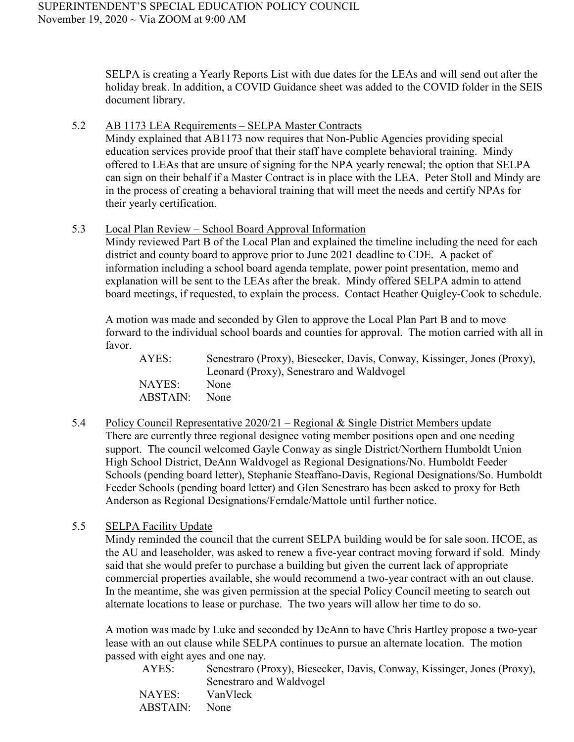SELPA is creating a Yearly Reports List with due dates for the LEAs and will send out after the holiday break. In addition, a COVID Guidance sheet was added to the COVID folder in the SEIS document library.

5.2 AB 1173 LEA Requirements – SELPA Master Contracts

Mindy explained that AB1173 now requires that Non-Public Agencies providing special education services provide proof that their staff have complete behavioral training. Mindy offered to LEAs that are unsure of signing for the NPA yearly renewal; the option that SELPA can sign on their behalf if a Master Contract is in place with the LEA. Peter Stoll and Mindy are in the process of creating a behavioral training that will meet the needs and certify NPAs for their yearly certification.

5.3 Local Plan Review – School Board Approval Information

Mindy reviewed Part B of the Local Plan and explained the timeline including the need for each district and county board to approve prior to June 2021 deadline to CDE. A packet of information including a school board agenda template, power point presentation, memo and explanation will be sent to the LEAs after the break. Mindy offered SELPA admin to attend board meetings, if requested, to explain the process. Contact Heather Quigley-Cook to schedule.

A motion was made and seconded by Glen to approve the Local Plan Part B and to move forward to the individual school boards and counties for approval. The motion carried with all in favor.

| AYES:    | Senestraro (Proxy), Biesecker, Davis, Conway, Kissinger, Jones (Proxy),<br>Leonard (Proxy), Senestraro and Waldvogel |
|----------|----------------------------------------------------------------------------------------------------------------------|
| NAYES:   | None                                                                                                                 |
| ABSTAIN: | None                                                                                                                 |

- 5.4 Policy Council Representative 2020/21 Regional & Single District Members update There are currently three regional designee voting member positions open and one needing support. The council welcomed Gayle Conway as single District/Northern Humboldt Union High School District, DeAnn Waldvogel as Regional Designations/No. Humboldt Feeder Schools (pending board letter), Stephanie Steaffano-Davis, Regional Designations/So. Humboldt Feeder Schools (pending board letter) and Glen Senestraro has been asked to proxy for Beth Anderson as Regional Designations/Ferndale/Mattole until further notice.
- 5.5 SELPA Facility Update

Mindy reminded the council that the current SELPA building would be for sale soon. HCOE, as the AU and leaseholder, was asked to renew a five-year contract moving forward if sold. Mindy said that she would prefer to purchase a building but given the current lack of appropriate commercial properties available, she would recommend a two-year contract with an out clause. In the meantime, she was given permission at the special Policy Council meeting to search out alternate locations to lease or purchase. The two years will allow her time to do so.

A motion was made by Luke and seconded by DeAnn to have Chris Hartley propose a two-year lease with an out clause while SELPA continues to pursue an alternate location. The motion passed with eight ayes and one nay.

| AYES:    | Senestraro (Proxy), Biesecker, Davis, Conway, Kissinger, Jones (Proxy), |
|----------|-------------------------------------------------------------------------|
|          | Senestraro and Waldvogel                                                |
| NAYES:   | VanVleck                                                                |
| ABSTAIN: | None                                                                    |